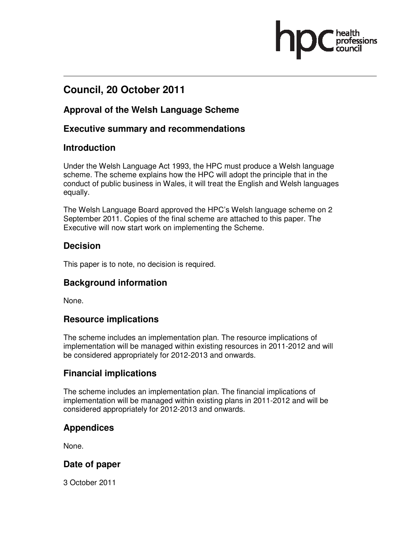# **Council, 20 October 2011**

### **Approval of the Welsh Language Scheme**

### **Executive summary and recommendations**

### **Introduction**

Under the Welsh Language Act 1993, the HPC must produce a Welsh language scheme. The scheme explains how the HPC will adopt the principle that in the conduct of public business in Wales, it will treat the English and Welsh languages equally.

The Welsh Language Board approved the HPC's Welsh language scheme on 2 September 2011. Copies of the final scheme are attached to this paper. The Executive will now start work on implementing the Scheme.

### **Decision**

This paper is to note, no decision is required.

### **Background information**

None.

### **Resource implications**

The scheme includes an implementation plan. The resource implications of implementation will be managed within existing resources in 2011-2012 and will be considered appropriately for 2012-2013 and onwards.

### **Financial implications**

The scheme includes an implementation plan. The financial implications of implementation will be managed within existing plans in 2011-2012 and will be considered appropriately for 2012-2013 and onwards.

### **Appendices**

None.

### **Date of paper**

3 October 2011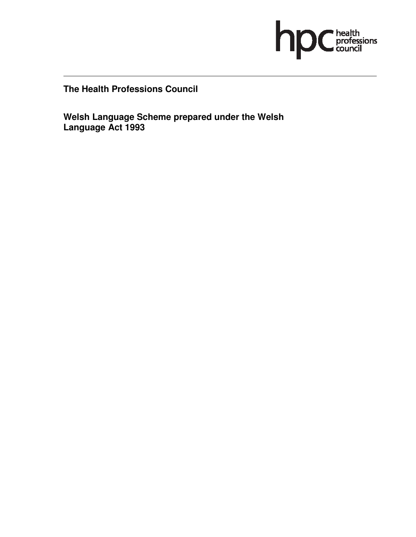

**The Health Professions Council** 

**Welsh Language Scheme prepared under the Welsh Language Act 1993**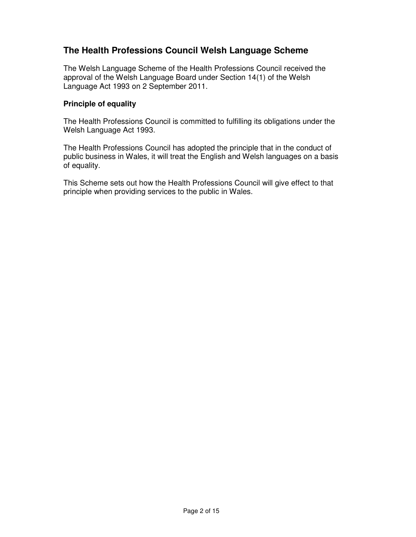### **The Health Professions Council Welsh Language Scheme**

The Welsh Language Scheme of the Health Professions Council received the approval of the Welsh Language Board under Section 14(1) of the Welsh Language Act 1993 on 2 September 2011.

#### **Principle of equality**

The Health Professions Council is committed to fulfilling its obligations under the Welsh Language Act 1993.

The Health Professions Council has adopted the principle that in the conduct of public business in Wales, it will treat the English and Welsh languages on a basis of equality.

This Scheme sets out how the Health Professions Council will give effect to that principle when providing services to the public in Wales.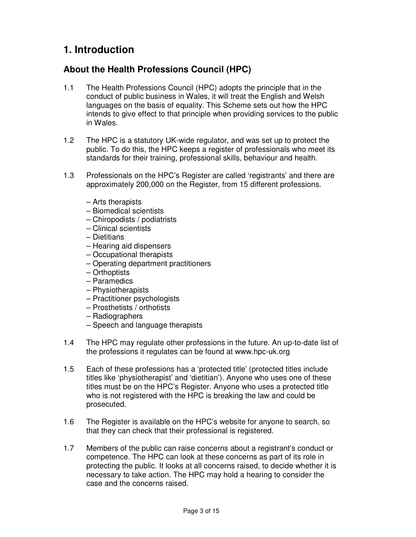# **1. Introduction**

### **About the Health Professions Council (HPC)**

- 1.1 The Health Professions Council (HPC) adopts the principle that in the conduct of public business in Wales, it will treat the English and Welsh languages on the basis of equality. This Scheme sets out how the HPC intends to give effect to that principle when providing services to the public in Wales.
- 1.2 The HPC is a statutory UK-wide regulator, and was set up to protect the public. To do this, the HPC keeps a register of professionals who meet its standards for their training, professional skills, behaviour and health.
- 1.3 Professionals on the HPC's Register are called 'registrants' and there are approximately 200,000 on the Register, from 15 different professions.
	- Arts therapists
	- Biomedical scientists
	- Chiropodists / podiatrists
	- Clinical scientists
	- Dietitians
	- Hearing aid dispensers
	- Occupational therapists
	- Operating department practitioners
	- Orthoptists
	- Paramedics
	- Physiotherapists
	- Practitioner psychologists
	- Prosthetists / orthotists
	- Radiographers
	- Speech and language therapists
- 1.4 The HPC may regulate other professions in the future. An up-to-date list of the professions it regulates can be found at www.hpc-uk.org
- 1.5 Each of these professions has a 'protected title' (protected titles include titles like 'physiotherapist' and 'dietitian'). Anyone who uses one of these titles must be on the HPC's Register. Anyone who uses a protected title who is not registered with the HPC is breaking the law and could be prosecuted.
- 1.6 The Register is available on the HPC's website for anyone to search, so that they can check that their professional is registered.
- 1.7 Members of the public can raise concerns about a registrant's conduct or competence. The HPC can look at these concerns as part of its role in protecting the public. It looks at all concerns raised, to decide whether it is necessary to take action. The HPC may hold a hearing to consider the case and the concerns raised.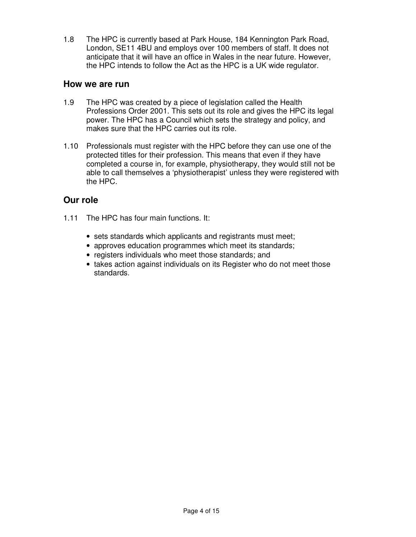1.8 The HPC is currently based at Park House, 184 Kennington Park Road, London, SE11 4BU and employs over 100 members of staff. It does not anticipate that it will have an office in Wales in the near future. However, the HPC intends to follow the Act as the HPC is a UK wide regulator.

#### **How we are run**

- 1.9 The HPC was created by a piece of legislation called the Health Professions Order 2001. This sets out its role and gives the HPC its legal power. The HPC has a Council which sets the strategy and policy, and makes sure that the HPC carries out its role.
- 1.10 Professionals must register with the HPC before they can use one of the protected titles for their profession. This means that even if they have completed a course in, for example, physiotherapy, they would still not be able to call themselves a 'physiotherapist' unless they were registered with the HPC.

### **Our role**

- 1.11 The HPC has four main functions. It:
	- sets standards which applicants and registrants must meet;
	- approves education programmes which meet its standards;
	- registers individuals who meet those standards; and
	- takes action against individuals on its Register who do not meet those standards.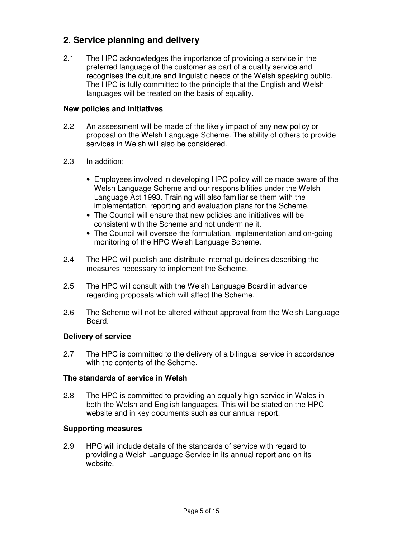### **2. Service planning and delivery**

2.1 The HPC acknowledges the importance of providing a service in the preferred language of the customer as part of a quality service and recognises the culture and linguistic needs of the Welsh speaking public. The HPC is fully committed to the principle that the English and Welsh languages will be treated on the basis of equality.

#### **New policies and initiatives**

- 2.2 An assessment will be made of the likely impact of any new policy or proposal on the Welsh Language Scheme. The ability of others to provide services in Welsh will also be considered.
- 2.3 In addition:
	- Employees involved in developing HPC policy will be made aware of the Welsh Language Scheme and our responsibilities under the Welsh Language Act 1993. Training will also familiarise them with the implementation, reporting and evaluation plans for the Scheme.
	- The Council will ensure that new policies and initiatives will be consistent with the Scheme and not undermine it.
	- The Council will oversee the formulation, implementation and on-going monitoring of the HPC Welsh Language Scheme.
- 2.4 The HPC will publish and distribute internal guidelines describing the measures necessary to implement the Scheme.
- 2.5 The HPC will consult with the Welsh Language Board in advance regarding proposals which will affect the Scheme.
- 2.6 The Scheme will not be altered without approval from the Welsh Language Board.

#### **Delivery of service**

2.7 The HPC is committed to the delivery of a bilingual service in accordance with the contents of the Scheme.

#### **The standards of service in Welsh**

2.8 The HPC is committed to providing an equally high service in Wales in both the Welsh and English languages. This will be stated on the HPC website and in key documents such as our annual report.

#### **Supporting measures**

2.9 HPC will include details of the standards of service with regard to providing a Welsh Language Service in its annual report and on its website.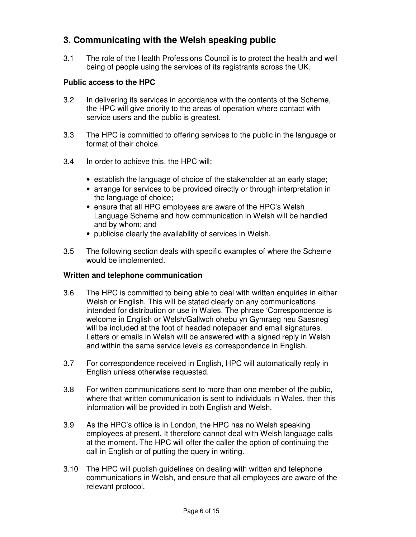### **3. Communicating with the Welsh speaking public**

3.1 The role of the Health Professions Council is to protect the health and well being of people using the services of its registrants across the UK.

#### **Public access to the HPC**

- 3.2 In delivering its services in accordance with the contents of the Scheme, the HPC will give priority to the areas of operation where contact with service users and the public is greatest.
- 3.3 The HPC is committed to offering services to the public in the language or format of their choice.
- 3.4 In order to achieve this, the HPC will:
	- establish the language of choice of the stakeholder at an early stage;
	- arrange for services to be provided directly or through interpretation in the language of choice;
	- ensure that all HPC employees are aware of the HPC's Welsh Language Scheme and how communication in Welsh will be handled and by whom; and
	- publicise clearly the availability of services in Welsh.
- 3.5 The following section deals with specific examples of where the Scheme would be implemented.

#### **Written and telephone communication**

- 3.6 The HPC is committed to being able to deal with written enquiries in either Welsh or English. This will be stated clearly on any communications intended for distribution or use in Wales. The phrase 'Correspondence is welcome in English or Welsh/Gallwch ohebu yn Gymraeg neu Saesneg' will be included at the foot of headed notepaper and email signatures. Letters or emails in Welsh will be answered with a signed reply in Welsh and within the same service levels as correspondence in English.
- 3.7 For correspondence received in English, HPC will automatically reply in English unless otherwise requested.
- 3.8 For written communications sent to more than one member of the public, where that written communication is sent to individuals in Wales, then this information will be provided in both English and Welsh.
- 3.9 As the HPC's office is in London, the HPC has no Welsh speaking employees at present. It therefore cannot deal with Welsh language calls at the moment. The HPC will offer the caller the option of continuing the call in English or of putting the query in writing.
- 3.10 The HPC will publish guidelines on dealing with written and telephone communications in Welsh, and ensure that all employees are aware of the relevant protocol.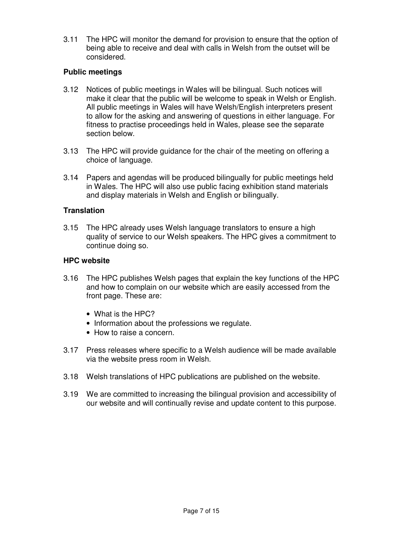3.11 The HPC will monitor the demand for provision to ensure that the option of being able to receive and deal with calls in Welsh from the outset will be considered.

#### **Public meetings**

- 3.12 Notices of public meetings in Wales will be bilingual. Such notices will make it clear that the public will be welcome to speak in Welsh or English. All public meetings in Wales will have Welsh/English interpreters present to allow for the asking and answering of questions in either language. For fitness to practise proceedings held in Wales, please see the separate section below.
- 3.13 The HPC will provide guidance for the chair of the meeting on offering a choice of language.
- 3.14 Papers and agendas will be produced bilingually for public meetings held in Wales. The HPC will also use public facing exhibition stand materials and display materials in Welsh and English or bilingually.

#### **Translation**

3.15 The HPC already uses Welsh language translators to ensure a high quality of service to our Welsh speakers. The HPC gives a commitment to continue doing so.

#### **HPC website**

- 3.16 The HPC publishes Welsh pages that explain the key functions of the HPC and how to complain on our website which are easily accessed from the front page. These are:
	- What is the HPC?
	- Information about the professions we regulate.
	- How to raise a concern.
- 3.17 Press releases where specific to a Welsh audience will be made available via the website press room in Welsh.
- 3.18 Welsh translations of HPC publications are published on the website.
- 3.19 We are committed to increasing the bilingual provision and accessibility of our website and will continually revise and update content to this purpose.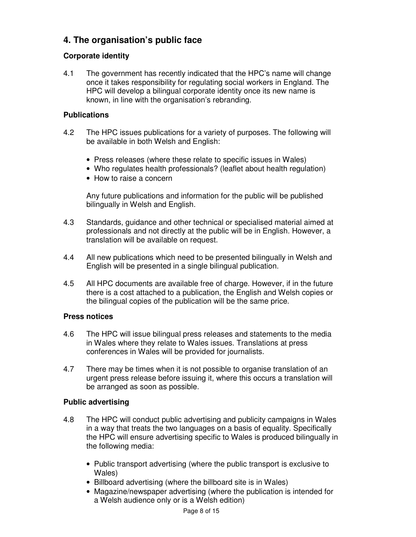### **4. The organisation's public face**

### **Corporate identity**

4.1 The government has recently indicated that the HPC's name will change once it takes responsibility for regulating social workers in England. The HPC will develop a bilingual corporate identity once its new name is known, in line with the organisation's rebranding.

#### **Publications**

- 4.2 The HPC issues publications for a variety of purposes. The following will be available in both Welsh and English:
	- Press releases (where these relate to specific issues in Wales)
	- Who regulates health professionals? (leaflet about health regulation)
	- How to raise a concern

Any future publications and information for the public will be published bilingually in Welsh and English.

- 4.3 Standards, guidance and other technical or specialised material aimed at professionals and not directly at the public will be in English. However, a translation will be available on request.
- 4.4 All new publications which need to be presented bilingually in Welsh and English will be presented in a single bilingual publication.
- 4.5 All HPC documents are available free of charge. However, if in the future there is a cost attached to a publication, the English and Welsh copies or the bilingual copies of the publication will be the same price.

#### **Press notices**

- 4.6 The HPC will issue bilingual press releases and statements to the media in Wales where they relate to Wales issues. Translations at press conferences in Wales will be provided for journalists.
- 4.7 There may be times when it is not possible to organise translation of an urgent press release before issuing it, where this occurs a translation will be arranged as soon as possible.

#### **Public advertising**

- 4.8 The HPC will conduct public advertising and publicity campaigns in Wales in a way that treats the two languages on a basis of equality. Specifically the HPC will ensure advertising specific to Wales is produced bilingually in the following media:
	- Public transport advertising (where the public transport is exclusive to Wales)
	- Billboard advertising (where the billboard site is in Wales)
	- Magazine/newspaper advertising (where the publication is intended for a Welsh audience only or is a Welsh edition)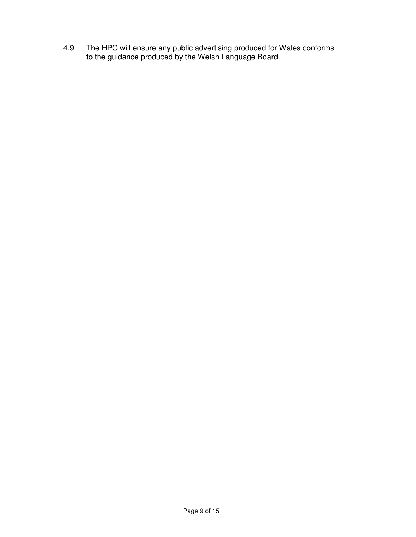4.9 The HPC will ensure any public advertising produced for Wales conforms to the guidance produced by the Welsh Language Board.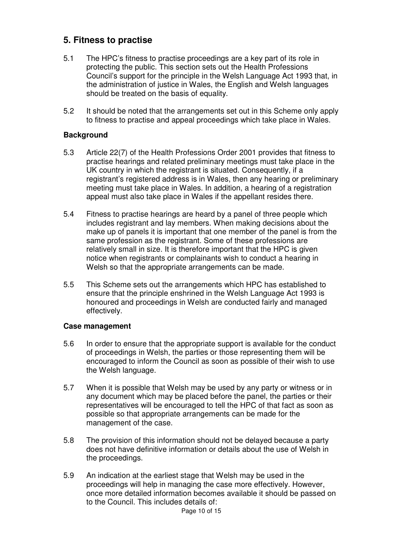### **5. Fitness to practise**

- 5.1 The HPC's fitness to practise proceedings are a key part of its role in protecting the public. This section sets out the Health Professions Council's support for the principle in the Welsh Language Act 1993 that, in the administration of justice in Wales, the English and Welsh languages should be treated on the basis of equality.
- 5.2 It should be noted that the arrangements set out in this Scheme only apply to fitness to practise and appeal proceedings which take place in Wales.

#### **Background**

- 5.3 Article 22(7) of the Health Professions Order 2001 provides that fitness to practise hearings and related preliminary meetings must take place in the UK country in which the registrant is situated. Consequently, if a registrant's registered address is in Wales, then any hearing or preliminary meeting must take place in Wales. In addition, a hearing of a registration appeal must also take place in Wales if the appellant resides there.
- 5.4 Fitness to practise hearings are heard by a panel of three people which includes registrant and lay members. When making decisions about the make up of panels it is important that one member of the panel is from the same profession as the registrant. Some of these professions are relatively small in size. It is therefore important that the HPC is given notice when registrants or complainants wish to conduct a hearing in Welsh so that the appropriate arrangements can be made.
- 5.5 This Scheme sets out the arrangements which HPC has established to ensure that the principle enshrined in the Welsh Language Act 1993 is honoured and proceedings in Welsh are conducted fairly and managed effectively.

#### **Case management**

- 5.6 In order to ensure that the appropriate support is available for the conduct of proceedings in Welsh, the parties or those representing them will be encouraged to inform the Council as soon as possible of their wish to use the Welsh language.
- 5.7 When it is possible that Welsh may be used by any party or witness or in any document which may be placed before the panel, the parties or their representatives will be encouraged to tell the HPC of that fact as soon as possible so that appropriate arrangements can be made for the management of the case.
- 5.8 The provision of this information should not be delayed because a party does not have definitive information or details about the use of Welsh in the proceedings.
- 5.9 An indication at the earliest stage that Welsh may be used in the proceedings will help in managing the case more effectively. However, once more detailed information becomes available it should be passed on to the Council. This includes details of: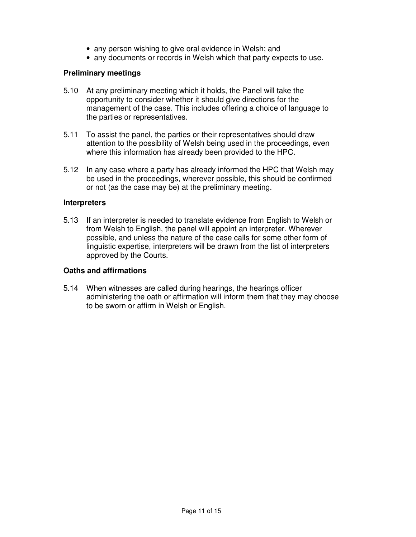- any person wishing to give oral evidence in Welsh; and
- any documents or records in Welsh which that party expects to use.

#### **Preliminary meetings**

- 5.10 At any preliminary meeting which it holds, the Panel will take the opportunity to consider whether it should give directions for the management of the case. This includes offering a choice of language to the parties or representatives.
- 5.11 To assist the panel, the parties or their representatives should draw attention to the possibility of Welsh being used in the proceedings, even where this information has already been provided to the HPC.
- 5.12 In any case where a party has already informed the HPC that Welsh may be used in the proceedings, wherever possible, this should be confirmed or not (as the case may be) at the preliminary meeting.

#### **Interpreters**

5.13 If an interpreter is needed to translate evidence from English to Welsh or from Welsh to English, the panel will appoint an interpreter. Wherever possible, and unless the nature of the case calls for some other form of linguistic expertise, interpreters will be drawn from the list of interpreters approved by the Courts.

#### **Oaths and affirmations**

5.14 When witnesses are called during hearings, the hearings officer administering the oath or affirmation will inform them that they may choose to be sworn or affirm in Welsh or English.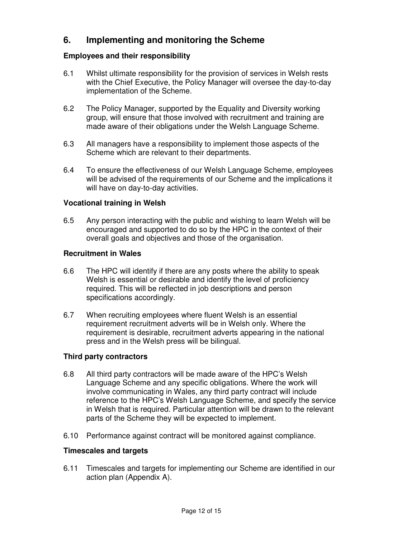### **6. Implementing and monitoring the Scheme**

#### **Employees and their responsibility**

- 6.1 Whilst ultimate responsibility for the provision of services in Welsh rests with the Chief Executive, the Policy Manager will oversee the day-to-day implementation of the Scheme.
- 6.2 The Policy Manager, supported by the Equality and Diversity working group, will ensure that those involved with recruitment and training are made aware of their obligations under the Welsh Language Scheme.
- 6.3 All managers have a responsibility to implement those aspects of the Scheme which are relevant to their departments.
- 6.4 To ensure the effectiveness of our Welsh Language Scheme, employees will be advised of the requirements of our Scheme and the implications it will have on day-to-day activities.

#### **Vocational training in Welsh**

6.5 Any person interacting with the public and wishing to learn Welsh will be encouraged and supported to do so by the HPC in the context of their overall goals and objectives and those of the organisation.

#### **Recruitment in Wales**

- 6.6 The HPC will identify if there are any posts where the ability to speak Welsh is essential or desirable and identify the level of proficiency required. This will be reflected in job descriptions and person specifications accordingly.
- 6.7 When recruiting employees where fluent Welsh is an essential requirement recruitment adverts will be in Welsh only. Where the requirement is desirable, recruitment adverts appearing in the national press and in the Welsh press will be bilingual.

#### **Third party contractors**

- 6.8 All third party contractors will be made aware of the HPC's Welsh Language Scheme and any specific obligations. Where the work will involve communicating in Wales, any third party contract will include reference to the HPC's Welsh Language Scheme, and specify the service in Welsh that is required. Particular attention will be drawn to the relevant parts of the Scheme they will be expected to implement.
- 6.10 Performance against contract will be monitored against compliance.

#### **Timescales and targets**

6.11 Timescales and targets for implementing our Scheme are identified in our action plan (Appendix A).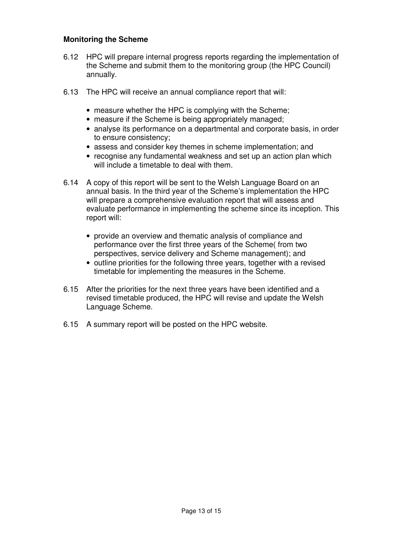#### **Monitoring the Scheme**

- 6.12 HPC will prepare internal progress reports regarding the implementation of the Scheme and submit them to the monitoring group (the HPC Council) annually.
- 6.13 The HPC will receive an annual compliance report that will:
	- measure whether the HPC is complying with the Scheme;
	- measure if the Scheme is being appropriately managed;
	- analyse its performance on a departmental and corporate basis, in order to ensure consistency;
	- assess and consider key themes in scheme implementation; and
	- recognise any fundamental weakness and set up an action plan which will include a timetable to deal with them.
- 6.14 A copy of this report will be sent to the Welsh Language Board on an annual basis. In the third year of the Scheme's implementation the HPC will prepare a comprehensive evaluation report that will assess and evaluate performance in implementing the scheme since its inception. This report will:
	- provide an overview and thematic analysis of compliance and performance over the first three years of the Scheme( from two perspectives, service delivery and Scheme management); and
	- outline priorities for the following three years, together with a revised timetable for implementing the measures in the Scheme.
- 6.15 After the priorities for the next three years have been identified and a revised timetable produced, the HPC will revise and update the Welsh Language Scheme.
- 6.15 A summary report will be posted on the HPC website.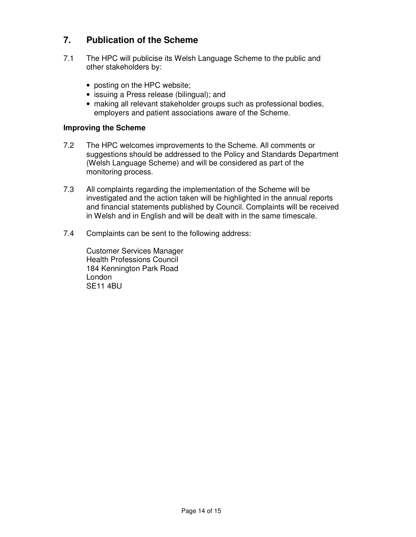### **7. Publication of the Scheme**

- 7.1 The HPC will publicise its Welsh Language Scheme to the public and other stakeholders by:
	- posting on the HPC website;
	- issuing a Press release (bilingual); and
	- making all relevant stakeholder groups such as professional bodies, employers and patient associations aware of the Scheme.

#### **Improving the Scheme**

- 7.2 The HPC welcomes improvements to the Scheme. All comments or suggestions should be addressed to the Policy and Standards Department (Welsh Language Scheme) and will be considered as part of the monitoring process.
- 7.3 All complaints regarding the implementation of the Scheme will be investigated and the action taken will be highlighted in the annual reports and financial statements published by Council. Complaints will be received in Welsh and in English and will be dealt with in the same timescale.
- 7.4 Complaints can be sent to the following address:

 Customer Services Manager Health Professions Council 184 Kennington Park Road London SE11 4BU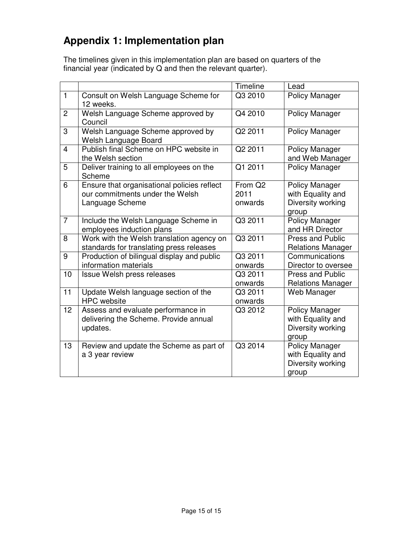# **Appendix 1: Implementation plan**

The timelines given in this implementation plan are based on quarters of the financial year (indicated by Q and then the relevant quarter).

|                |                                                                                                   | Timeline                               | Lead                                                              |
|----------------|---------------------------------------------------------------------------------------------------|----------------------------------------|-------------------------------------------------------------------|
| $\mathbf{1}$   | Consult on Welsh Language Scheme for<br>12 weeks.                                                 | Q3 2010                                | <b>Policy Manager</b>                                             |
| $\overline{2}$ | Welsh Language Scheme approved by<br>Council                                                      | Q4 2010                                | Policy Manager                                                    |
| 3              | Welsh Language Scheme approved by<br>Welsh Language Board                                         | Q2 2011                                | Policy Manager                                                    |
| $\overline{4}$ | Publish final Scheme on HPC website in<br>the Welsh section                                       | Q2 2011                                | <b>Policy Manager</b><br>and Web Manager                          |
| 5              | Deliver training to all employees on the<br>Scheme                                                | Q1 2011                                | <b>Policy Manager</b>                                             |
| 6              | Ensure that organisational policies reflect<br>our commitments under the Welsh<br>Language Scheme | From Q <sub>2</sub><br>2011<br>onwards | Policy Manager<br>with Equality and<br>Diversity working<br>group |
| $\overline{7}$ | Include the Welsh Language Scheme in<br>employees induction plans                                 | Q3 2011                                | <b>Policy Manager</b><br>and HR Director                          |
| 8              | Work with the Welsh translation agency on<br>standards for translating press releases             | Q3 2011                                | <b>Press and Public</b><br><b>Relations Manager</b>               |
| 9              | Production of bilingual display and public<br>information materials                               | Q3 2011<br>onwards                     | Communications<br>Director to oversee                             |
| 10             | Issue Welsh press releases                                                                        | Q3 2011<br>onwards                     | <b>Press and Public</b><br><b>Relations Manager</b>               |
| 11             | Update Welsh language section of the<br><b>HPC</b> website                                        | Q3 2011<br>onwards                     | Web Manager                                                       |
| 12             | Assess and evaluate performance in<br>delivering the Scheme. Provide annual<br>updates.           | Q3 2012                                | Policy Manager<br>with Equality and<br>Diversity working<br>group |
| 13             | Review and update the Scheme as part of<br>a 3 year review                                        | Q3 2014                                | Policy Manager<br>with Equality and<br>Diversity working<br>group |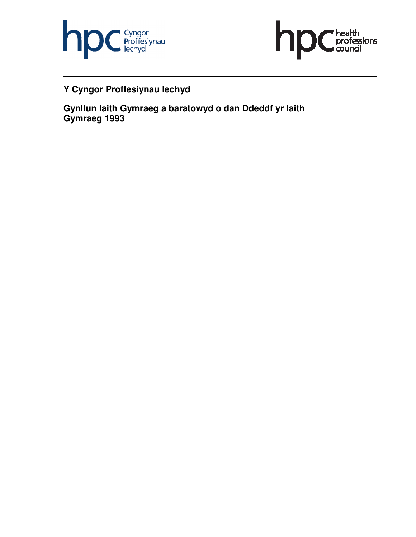



## **Y Cyngor Proffesiynau Iechyd**

**Gynllun Iaith Gymraeg a baratowyd o dan Ddeddf yr Iaith Gymraeg 1993**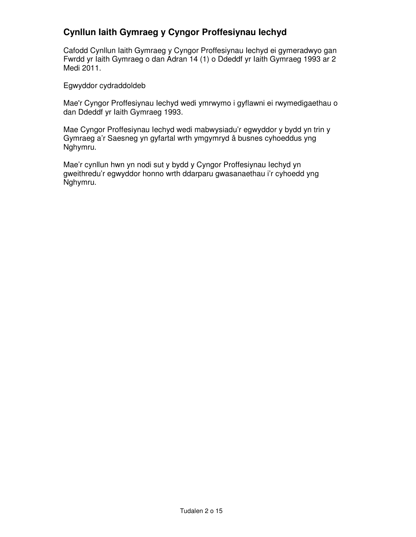### **Cynllun Iaith Gymraeg y Cyngor Proffesiynau Iechyd**

Cafodd Cynllun Iaith Gymraeg y Cyngor Proffesiynau Iechyd ei gymeradwyo gan Fwrdd yr Iaith Gymraeg o dan Adran 14 (1) o Ddeddf yr Iaith Gymraeg 1993 ar 2 Medi 2011.

Egwyddor cydraddoldeb

Mae'r Cyngor Proffesiynau Iechyd wedi ymrwymo i gyflawni ei rwymedigaethau o dan Ddeddf yr Iaith Gymraeg 1993.

Mae Cyngor Proffesiynau Iechyd wedi mabwysiadu'r egwyddor y bydd yn trin y Gymraeg a'r Saesneg yn gyfartal wrth ymgymryd â busnes cyhoeddus yng Nghymru.

Mae'r cynllun hwn yn nodi sut y bydd y Cyngor Proffesiynau Iechyd yn gweithredu'r egwyddor honno wrth ddarparu gwasanaethau i'r cyhoedd yng Nghymru.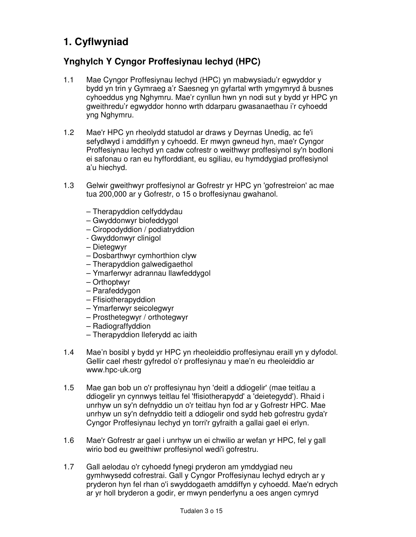# **1. Cyflwyniad**

### **Ynghylch Y Cyngor Proffesiynau Iechyd (HPC)**

- 1.1 Mae Cyngor Proffesiynau Iechyd (HPC) yn mabwysiadu'r egwyddor y bydd yn trin y Gymraeg a'r Saesneg yn gyfartal wrth ymgymryd â busnes cyhoeddus yng Nghymru. Mae'r cynllun hwn yn nodi sut y bydd yr HPC yn gweithredu'r egwyddor honno wrth ddarparu gwasanaethau i'r cyhoedd yng Nghymru.
- 1.2 Mae'r HPC yn rheolydd statudol ar draws y Deyrnas Unedig, ac fe'i sefydlwyd i amddiffyn y cyhoedd. Er mwyn gwneud hyn, mae'r Cyngor Proffesiynau Iechyd yn cadw cofrestr o weithwyr proffesiynol sy'n bodloni ei safonau o ran eu hyfforddiant, eu sgiliau, eu hymddygiad proffesiynol a'u hiechyd.
- 1.3 Gelwir gweithwyr proffesiynol ar Gofrestr yr HPC yn 'gofrestreion' ac mae tua 200,000 ar y Gofrestr, o 15 o broffesiynau gwahanol.
	- Therapyddion celfyddydau
	- Gwyddonwyr biofeddygol
	- Ciropodyddion / podiatryddion
	- Gwyddonwyr clinigol
	- Dietegwyr
	- Dosbarthwyr cymhorthion clyw
	- Therapyddion galwedigaethol
	- Ymarferwyr adrannau llawfeddygol
	- Orthoptwyr
	- Parafeddygon
	- Ffisiotherapyddion
	- Ymarferwyr seicolegwyr
	- Prosthetegwyr / orthotegwyr
	- Radiograffyddion
	- Therapyddion lleferydd ac iaith
- 1.4 Mae'n bosibl y bydd yr HPC yn rheoleiddio proffesiynau eraill yn y dyfodol. Gellir cael rhestr gyfredol o'r proffesiynau y mae'n eu rheoleiddio ar www.hpc-uk.org
- 1.5 Mae gan bob un o'r proffesiynau hyn 'deitl a ddiogelir' (mae teitlau a ddiogelir yn cynnwys teitlau fel 'ffisiotherapydd' a 'deietegydd'). Rhaid i unrhyw un sy'n defnyddio un o'r teitlau hyn fod ar y Gofrestr HPC. Mae unrhyw un sy'n defnyddio teitl a ddiogelir ond sydd heb gofrestru gyda'r Cyngor Proffesiynau Iechyd yn torri'r gyfraith a gallai gael ei erlyn.
- 1.6 Mae'r Gofrestr ar gael i unrhyw un ei chwilio ar wefan yr HPC, fel y gall wirio bod eu gweithiwr proffesiynol wedi'i gofrestru.
- 1.7 Gall aelodau o'r cyhoedd fynegi pryderon am ymddygiad neu gymhwysedd cofrestrai. Gall y Cyngor Proffesiynau Iechyd edrych ar y pryderon hyn fel rhan o'i swyddogaeth amddiffyn y cyhoedd. Mae'n edrych ar yr holl bryderon a godir, er mwyn penderfynu a oes angen cymryd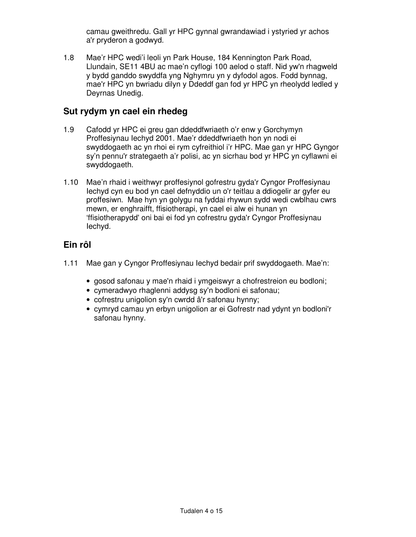camau gweithredu. Gall yr HPC gynnal gwrandawiad i ystyried yr achos a'r pryderon a godwyd.

1.8 Mae'r HPC wedi'i leoli yn Park House, 184 Kennington Park Road, Llundain, SE11 4BU ac mae'n cyflogi 100 aelod o staff. Nid yw'n rhagweld y bydd ganddo swyddfa yng Nghymru yn y dyfodol agos. Fodd bynnag, mae'r HPC yn bwriadu dilyn y Ddeddf gan fod yr HPC yn rheolydd ledled y Deyrnas Unedig.

### **Sut rydym yn cael ein rhedeg**

- 1.9 Cafodd yr HPC ei greu gan ddeddfwriaeth o'r enw y Gorchymyn Proffesiynau Iechyd 2001. Mae'r ddeddfwriaeth hon yn nodi ei swyddogaeth ac yn rhoi ei rym cyfreithiol i'r HPC. Mae gan yr HPC Gyngor sy'n pennu'r strategaeth a'r polisi, ac yn sicrhau bod yr HPC yn cyflawni ei swyddogaeth.
- 1.10 Mae'n rhaid i weithwyr proffesiynol gofrestru gyda'r Cyngor Proffesiynau Iechyd cyn eu bod yn cael defnyddio un o'r teitlau a ddiogelir ar gyfer eu proffesiwn. Mae hyn yn golygu na fyddai rhywun sydd wedi cwblhau cwrs mewn, er enghraifft, ffisiotherapi, yn cael ei alw ei hunan yn 'ffisiotherapydd' oni bai ei fod yn cofrestru gyda'r Cyngor Proffesiynau Iechyd.

### **Ein rôl**

- 1.11 Mae gan y Cyngor Proffesiynau Iechyd bedair prif swyddogaeth. Mae'n:
	- gosod safonau y mae'n rhaid i ymgeiswyr a chofrestreion eu bodloni;
	- cymeradwyo rhaglenni addysg sy'n bodloni ei safonau;
	- cofrestru unigolion sy'n cwrdd â'r safonau hynny;
	- cymryd camau yn erbyn unigolion ar ei Gofrestr nad ydynt yn bodloni'r safonau hynny.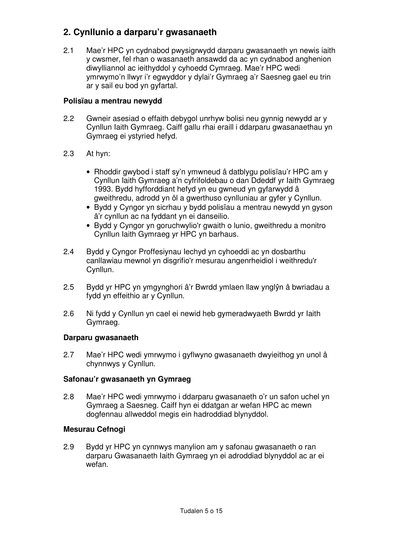### **2. Cynllunio a darparu'r gwasanaeth**

2.1 Mae'r HPC yn cydnabod pwysigrwydd darparu gwasanaeth yn newis iaith y cwsmer, fel rhan o wasanaeth ansawdd da ac yn cydnabod anghenion diwylliannol ac ieithyddol y cyhoedd Cymraeg. Mae'r HPC wedi ymrwymo'n llwyr i'r egwyddor y dylai'r Gymraeg a'r Saesneg gael eu trin ar y sail eu bod yn gyfartal.

#### **Polisïau a mentrau newydd**

- 2.2 Gwneir asesiad o effaith debygol unrhyw bolisi neu gynnig newydd ar y Cynllun Iaith Gymraeg. Caiff gallu rhai eraill i ddarparu gwasanaethau yn Gymraeg ei ystyried hefyd.
- 2.3 At hyn:
	- Rhoddir gwybod i staff sy'n ymwneud â datblygu polisïau'r HPC am y Cynllun Iaith Gymraeg a'n cyfrifoldebau o dan Ddeddf yr Iaith Gymraeg 1993. Bydd hyfforddiant hefyd yn eu gwneud yn gyfarwydd â gweithredu, adrodd yn ôl a gwerthuso cynlluniau ar gyfer y Cynllun.
	- Bydd y Cyngor yn sicrhau y bydd polisïau a mentrau newydd yn gyson â'r cynllun ac na fyddant yn ei danseilio.
	- Bydd y Cyngor yn goruchwylio'r gwaith o lunio, gweithredu a monitro Cynllun Iaith Gymraeg yr HPC yn barhaus.
- 2.4 Bydd y Cyngor Proffesiynau Iechyd yn cyhoeddi ac yn dosbarthu canllawiau mewnol yn disgrifio'r mesurau angenrheidiol i weithredu'r Cynllun.
- 2.5 Bydd yr HPC yn ymgynghori â'r Bwrdd ymlaen llaw ynglŷn â bwriadau a fydd yn effeithio ar y Cynllun.
- 2.6 Ni fydd y Cynllun yn cael ei newid heb gymeradwyaeth Bwrdd yr Iaith Gymraeg.

#### **Darparu gwasanaeth**

2.7 Mae'r HPC wedi ymrwymo i gyflwyno gwasanaeth dwyieithog yn unol â chynnwys y Cynllun.

#### **Safonau'r gwasanaeth yn Gymraeg**

2.8 Mae'r HPC wedi ymrwymo i ddarparu gwasanaeth o'r un safon uchel yn Gymraeg a Saesneg. Caiff hyn ei ddatgan ar wefan HPC ac mewn dogfennau allweddol megis ein hadroddiad blynyddol.

#### **Mesurau Cefnogi**

2.9 Bydd yr HPC yn cynnwys manylion am y safonau gwasanaeth o ran darparu Gwasanaeth Iaith Gymraeg yn ei adroddiad blynyddol ac ar ei wefan.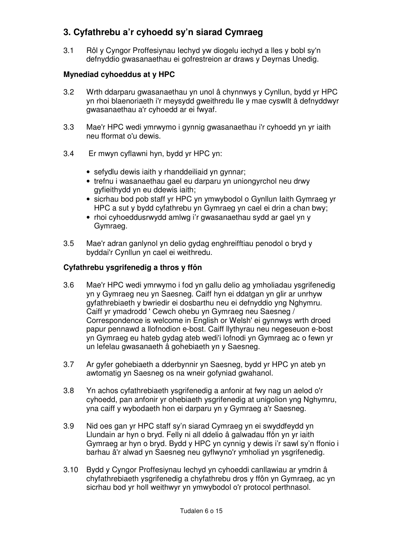### **3. Cyfathrebu a'r cyhoedd sy'n siarad Cymraeg**

3.1 Rôl y Cyngor Proffesiynau Iechyd yw diogelu iechyd a lles y bobl sy'n defnyddio gwasanaethau ei gofrestreion ar draws y Deyrnas Unedig.

### **Mynediad cyhoeddus at y HPC**

- 3.2 Wrth ddarparu gwasanaethau yn unol â chynnwys y Cynllun, bydd yr HPC yn rhoi blaenoriaeth i'r meysydd gweithredu lle y mae cyswllt â defnyddwyr gwasanaethau a'r cyhoedd ar ei fwyaf.
- 3.3 Mae'r HPC wedi ymrwymo i gynnig gwasanaethau i'r cyhoedd yn yr iaith neu fformat o'u dewis.
- 3.4 Er mwyn cyflawni hyn, bydd yr HPC yn:
	- sefydlu dewis iaith y rhanddeiliaid yn gynnar;
	- trefnu i wasanaethau gael eu darparu yn uniongyrchol neu drwy gyfieithydd yn eu ddewis iaith;
	- sicrhau bod pob staff yr HPC yn ymwybodol o Gynllun Iaith Gymraeg yr HPC a sut y bydd cyfathrebu yn Gymraeg yn cael ei drin a chan bwy;
	- rhoi cyhoeddusrwydd amlwg i'r gwasanaethau sydd ar gael yn y Gymraeg.
- 3.5 Mae'r adran ganlynol yn delio gydag enghreifftiau penodol o bryd y byddai'r Cynllun yn cael ei weithredu.

#### **Cyfathrebu ysgrifenedig a thros y ffôn**

- 3.6 Mae'r HPC wedi ymrwymo i fod yn gallu delio ag ymholiadau ysgrifenedig yn y Gymraeg neu yn Saesneg. Caiff hyn ei ddatgan yn glir ar unrhyw gyfathrebiaeth y bwriedir ei dosbarthu neu ei defnyddio yng Nghymru. Caiff yr ymadrodd ' Cewch ohebu yn Gymraeg neu Saesneg / Correspondence is welcome in English or Welsh' ei gynnwys wrth droed papur pennawd a llofnodion e-bost. Caiff llythyrau neu negeseuon e-bost yn Gymraeg eu hateb gydag ateb wedi'i lofnodi yn Gymraeg ac o fewn yr un lefelau gwasanaeth â gohebiaeth yn y Saesneg.
- 3.7 Ar gyfer gohebiaeth a dderbynnir yn Saesneg, bydd yr HPC yn ateb yn awtomatig yn Saesneg os na wneir gofyniad gwahanol.
- 3.8 Yn achos cyfathrebiaeth ysgrifenedig a anfonir at fwy nag un aelod o'r cyhoedd, pan anfonir yr ohebiaeth ysgrifenedig at unigolion yng Nghymru, yna caiff y wybodaeth hon ei darparu yn y Gymraeg a'r Saesneg.
- 3.9 Nid oes gan yr HPC staff sy'n siarad Cymraeg yn ei swyddfeydd yn Llundain ar hyn o bryd. Felly ni all ddelio â galwadau ffôn yn yr iaith Gymraeg ar hyn o bryd. Bydd y HPC yn cynnig y dewis i'r sawl sy'n ffonio i barhau â'r alwad yn Saesneg neu gyflwyno'r ymholiad yn ysgrifenedig.
- 3.10 Bydd y Cyngor Proffesiynau Iechyd yn cyhoeddi canllawiau ar ymdrin â chyfathrebiaeth ysgrifenedig a chyfathrebu dros y ffôn yn Gymraeg, ac yn sicrhau bod yr holl weithwyr yn ymwybodol o'r protocol perthnasol.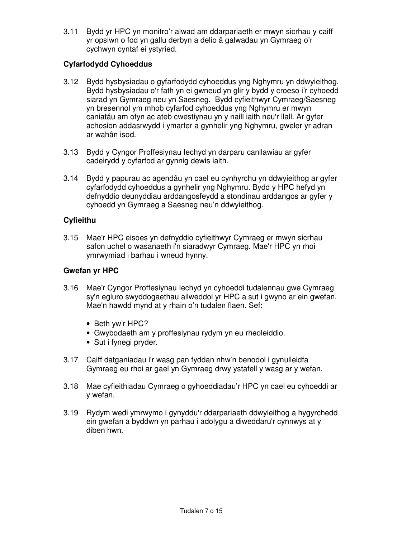3.11 Bydd yr HPC yn monitro'r alwad am ddarpariaeth er mwyn sicrhau y caiff yr opsiwn o fod yn gallu derbyn a delio â galwadau yn Gymraeg o'r cychwyn cyntaf ei ystyried.

#### **Cyfarfodydd Cyhoeddus**

- 3.12 Bydd hysbysiadau o gyfarfodydd cyhoeddus yng Nghymru yn ddwyieithog. Bydd hysbysiadau o'r fath yn ei gwneud yn glir y bydd y croeso i'r cyhoedd siarad yn Gymraeg neu yn Saesneg. Bydd cyfieithwyr Cymraeg/Saesneg yn bresennol ym mhob cyfarfod cyhoeddus yng Nghymru er mwyn caniatáu am ofyn ac ateb cwestiynau yn y naill iaith neu'r llall. Ar gyfer achosion addasrwydd i ymarfer a gynhelir yng Nghymru, gweler yr adran ar wahân isod.
- 3.13 Bydd y Cyngor Proffesiynau Iechyd yn darparu canllawiau ar gyfer cadeirydd y cyfarfod ar gynnig dewis iaith.
- 3.14 Bydd y papurau ac agendâu yn cael eu cynhyrchu yn ddwyieithog ar gyfer cyfarfodydd cyhoeddus a gynhelir yng Nghymru. Bydd y HPC hefyd yn defnyddio deunyddiau arddangosfeydd a stondinau arddangos ar gyfer y cyhoedd yn Gymraeg a Saesneg neu'n ddwyieithog.

#### **Cyfieithu**

3.15 Mae'r HPC eisoes yn defnyddio cyfieithwyr Cymraeg er mwyn sicrhau safon uchel o wasanaeth i'n siaradwyr Cymraeg. Mae'r HPC yn rhoi ymrwymiad i barhau i wneud hynny.

#### **Gwefan yr HPC**

- 3.16 Mae'r Cyngor Proffesiynau Iechyd yn cyhoeddi tudalennau gwe Cymraeg sy'n egluro swyddogaethau allweddol yr HPC a sut i gwyno ar ein gwefan. Mae'n hawdd mynd at y rhain o'n tudalen flaen. Sef:
	- Beth yw'r HPC?
	- Gwybodaeth am y proffesiynau rydym yn eu rheoleiddio.
	- Sut i fynegi pryder.
- 3.17 Caiff datganiadau i'r wasg pan fyddan nhw'n benodol i gynulleidfa Gymraeg eu rhoi ar gael yn Gymraeg drwy ystafell y wasg ar y wefan.
- 3.18 Mae cyfieithiadau Cymraeg o gyhoeddiadau'r HPC yn cael eu cyhoeddi ar y wefan.
- 3.19 Rydym wedi ymrwymo i gynyddu'r ddarpariaeth ddwyieithog a hygyrchedd ein gwefan a byddwn yn parhau i adolygu a diweddaru'r cynnwys at y diben hwn.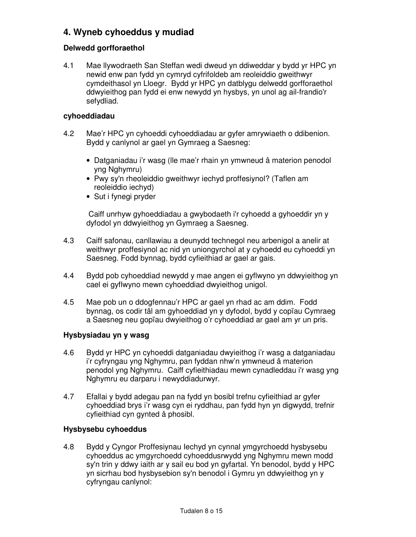### **4. Wyneb cyhoeddus y mudiad**

#### **Delwedd gorfforaethol**

4.1 Mae llywodraeth San Steffan wedi dweud yn ddiweddar y bydd yr HPC yn newid enw pan fydd yn cymryd cyfrifoldeb am reoleiddio gweithwyr cymdeithasol yn Lloegr. Bydd yr HPC yn datblygu delwedd gorfforaethol ddwyieithog pan fydd ei enw newydd yn hysbys, yn unol ag ail-frandio'r sefydliad.

#### **cyhoeddiadau**

- 4.2 Mae'r HPC yn cyhoeddi cyhoeddiadau ar gyfer amrywiaeth o ddibenion. Bydd y canlynol ar gael yn Gymraeg a Saesneg:
	- Datganiadau i'r wasg (lle mae'r rhain yn ymwneud â materion penodol yng Nghymru)
	- Pwy sy'n rheoleiddio gweithwyr iechyd proffesiynol? (Taflen am reoleiddio iechyd)
	- Sut i fynegi pryder

 Caiff unrhyw gyhoeddiadau a gwybodaeth i'r cyhoedd a gyhoeddir yn y dyfodol yn ddwyieithog yn Gymraeg a Saesneg.

- 4.3 Caiff safonau, canllawiau a deunydd technegol neu arbenigol a anelir at weithwyr proffesiynol ac nid yn uniongyrchol at y cyhoedd eu cyhoeddi yn Saesneg. Fodd bynnag, bydd cyfieithiad ar gael ar gais.
- 4.4 Bydd pob cyhoeddiad newydd y mae angen ei gyflwyno yn ddwyieithog yn cael ei gyflwyno mewn cyhoeddiad dwyieithog unigol.
- 4.5 Mae pob un o ddogfennau'r HPC ar gael yn rhad ac am ddim. Fodd bynnag, os codir tâl am gyhoeddiad yn y dyfodol, bydd y copïau Cymraeg a Saesneg neu gopïau dwyieithog o'r cyhoeddiad ar gael am yr un pris.

#### **Hysbysiadau yn y wasg**

- 4.6 Bydd yr HPC yn cyhoeddi datganiadau dwyieithog i'r wasg a datganiadau i'r cyfryngau yng Nghymru, pan fyddan nhw'n ymwneud â materion penodol yng Nghymru. Caiff cyfieithiadau mewn cynadleddau i'r wasg yng Nghymru eu darparu i newyddiadurwyr.
- 4.7 Efallai y bydd adegau pan na fydd yn bosibl trefnu cyfieithiad ar gyfer cyhoeddiad brys i'r wasg cyn ei ryddhau, pan fydd hyn yn digwydd, trefnir cyfieithiad cyn gynted â phosibl.

#### **Hysbysebu cyhoeddus**

4.8 Bydd y Cyngor Proffesiynau Iechyd yn cynnal ymgyrchoedd hysbysebu cyhoeddus ac ymgyrchoedd cyhoeddusrwydd yng Nghymru mewn modd sy'n trin y ddwy iaith ar y sail eu bod yn gyfartal. Yn benodol, bydd y HPC yn sicrhau bod hysbysebion sy'n benodol i Gymru yn ddwyieithog yn y cyfryngau canlynol: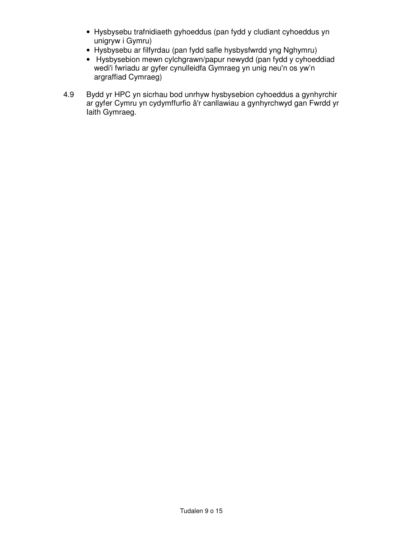- Hysbysebu trafnidiaeth gyhoeddus (pan fydd y cludiant cyhoeddus yn unigryw i Gymru)
- Hysbysebu ar filfyrdau (pan fydd safle hysbysfwrdd yng Nghymru)
- Hysbysebion mewn cylchgrawn/papur newydd (pan fydd y cyhoeddiad wedi'i fwriadu ar gyfer cynulleidfa Gymraeg yn unig neu'n os yw'n argraffiad Cymraeg)
- 4.9 Bydd yr HPC yn sicrhau bod unrhyw hysbysebion cyhoeddus a gynhyrchir ar gyfer Cymru yn cydymffurfio â'r canllawiau a gynhyrchwyd gan Fwrdd yr Iaith Gymraeg.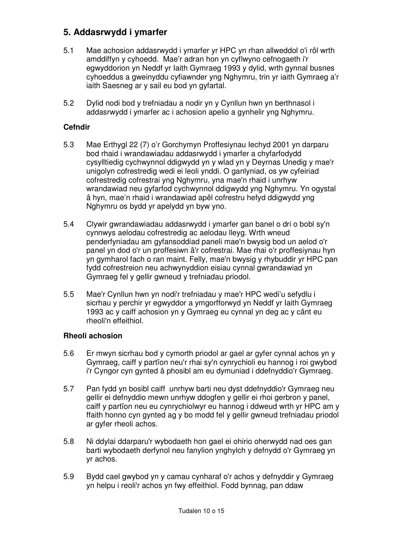### **5. Addasrwydd i ymarfer**

- 5.1 Mae achosion addasrwydd i ymarfer yr HPC yn rhan allweddol o'i rôl wrth amddiffyn y cyhoedd. Mae'r adran hon yn cyflwyno cefnogaeth i'r egwyddorion yn Neddf yr Iaith Gymraeg 1993 y dylid, wrth gynnal busnes cyhoeddus a gweinyddu cyfiawnder yng Nghymru, trin yr iaith Gymraeg a'r iaith Saesneg ar y sail eu bod yn gyfartal.
- 5.2 Dylid nodi bod y trefniadau a nodir yn y Cynllun hwn yn berthnasol i addasrwydd i ymarfer ac i achosion apelio a gynhelir yng Nghymru.

#### **Cefndir**

- 5.3 Mae Erthygl 22 (7) o'r Gorchymyn Proffesiynau Iechyd 2001 yn darparu bod rhaid i wrandawiadau addasrwydd i ymarfer a chyfarfodydd cysylltiedig cychwynnol ddigwydd yn y wlad yn y Deyrnas Unedig y mae'r unigolyn cofrestredig wedi ei leoli ynddi. O ganlyniad, os yw cyfeiriad cofrestredig cofrestrai yng Nghymru, yna mae'n rhaid i unrhyw wrandawiad neu gyfarfod cychwynnol ddigwydd yng Nghymru. Yn ogystal â hyn, mae'n rhaid i wrandawiad apêl cofrestru hefyd ddigwydd yng Nghymru os bydd yr apelydd yn byw yno.
- 5.4 Clywir gwrandawiadau addasrwydd i ymarfer gan banel o dri o bobl sy'n cynnwys aelodau cofrestredig ac aelodau lleyg. Wrth wneud penderfyniadau am gyfansoddiad paneli mae'n bwysig bod un aelod o'r panel yn dod o'r un proffesiwn â'r cofrestrai. Mae rhai o'r proffesiynau hyn yn gymharol fach o ran maint. Felly, mae'n bwysig y rhybuddir yr HPC pan fydd cofrestreion neu achwynyddion eisiau cynnal gwrandawiad yn Gymraeg fel y gellir gwneud y trefniadau priodol.
- 5.5 Mae'r Cynllun hwn yn nodi'r trefniadau y mae'r HPC wedi'u sefydlu i sicrhau y perchir yr egwyddor a ymgorfforwyd yn Neddf yr Iaith Gymraeg 1993 ac y caiff achosion yn y Gymraeg eu cynnal yn deg ac y cânt eu rheoli'n effeithiol.

#### **Rheoli achosion**

- 5.6 Er mwyn sicrhau bod y cymorth priodol ar gael ar gyfer cynnal achos yn y Gymraeg, caiff y partïon neu'r rhai sy'n cynrychioli eu hannog i roi gwybod i'r Cyngor cyn gynted â phosibl am eu dymuniad i ddefnyddio'r Gymraeg.
- 5.7 Pan fydd yn bosibl caiff unrhyw barti neu dyst ddefnyddio'r Gymraeg neu gellir ei defnyddio mewn unrhyw ddogfen y gellir ei rhoi gerbron y panel, caiff y partïon neu eu cynrychiolwyr eu hannog i ddweud wrth yr HPC am y ffaith honno cyn gynted ag y bo modd fel y gellir gwneud trefniadau priodol ar gyfer rheoli achos.
- 5.8 Ni ddylai ddarparu'r wybodaeth hon gael ei ohirio oherwydd nad oes gan barti wybodaeth derfynol neu fanylion ynghylch y defnydd o'r Gymraeg yn yr achos.
- 5.9 Bydd cael gwybod yn y camau cynharaf o'r achos y defnyddir y Gymraeg yn helpu i reoli'r achos yn fwy effeithiol. Fodd bynnag, pan ddaw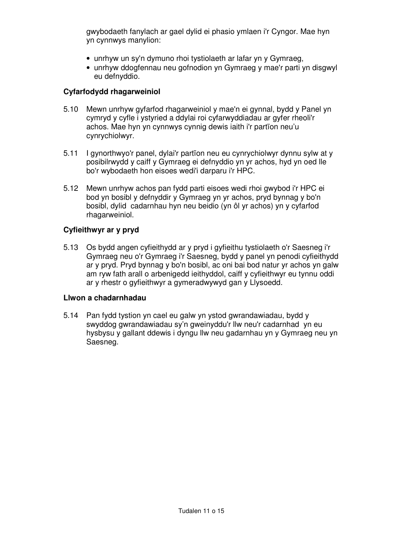gwybodaeth fanylach ar gael dylid ei phasio ymlaen i'r Cyngor. Mae hyn yn cynnwys manylion:

- unrhyw un sy'n dymuno rhoi tystiolaeth ar lafar yn y Gymraeg,
- unrhyw ddogfennau neu gofnodion yn Gymraeg y mae'r parti yn disgwyl eu defnyddio.

#### **Cyfarfodydd rhagarweiniol**

- 5.10 Mewn unrhyw gyfarfod rhagarweiniol y mae'n ei gynnal, bydd y Panel yn cymryd y cyfle i ystyried a ddylai roi cyfarwyddiadau ar gyfer rheoli'r achos. Mae hyn yn cynnwys cynnig dewis iaith i'r partïon neu'u cynrychiolwyr.
- 5.11 I gynorthwyo'r panel, dylai'r partïon neu eu cynrychiolwyr dynnu sylw at y posibilrwydd y caiff y Gymraeg ei defnyddio yn yr achos, hyd yn oed lle bo'r wybodaeth hon eisoes wedi'i darparu i'r HPC.
- 5.12 Mewn unrhyw achos pan fydd parti eisoes wedi rhoi gwybod i'r HPC ei bod yn bosibl y defnyddir y Gymraeg yn yr achos, pryd bynnag y bo'n bosibl, dylid cadarnhau hyn neu beidio (yn ôl yr achos) yn y cyfarfod rhagarweiniol.

#### **Cyfieithwyr ar y pryd**

5.13 Os bydd angen cyfieithydd ar y pryd i gyfieithu tystiolaeth o'r Saesneg i'r Gymraeg neu o'r Gymraeg i'r Saesneg, bydd y panel yn penodi cyfieithydd ar y pryd. Pryd bynnag y bo'n bosibl, ac oni bai bod natur yr achos yn galw am ryw fath arall o arbenigedd ieithyddol, caiff y cyfieithwyr eu tynnu oddi ar y rhestr o gyfieithwyr a gymeradwywyd gan y Llysoedd.

#### **Llwon a chadarnhadau**

5.14 Pan fydd tystion yn cael eu galw yn ystod gwrandawiadau, bydd y swyddog gwrandawiadau sy'n gweinyddu'r llw neu'r cadarnhad yn eu hysbysu y gallant ddewis i dyngu llw neu gadarnhau yn y Gymraeg neu yn Saesneg.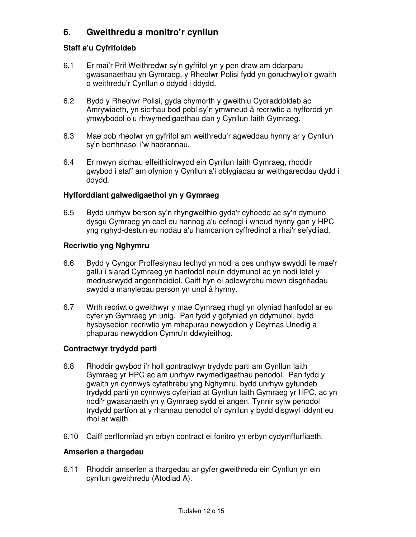### **6. Gweithredu a monitro'r cynllun**

#### **Staff a'u Cyfrifoldeb**

- 6.1 Er mai'r Prif Weithredwr sy'n gyfrifol yn y pen draw am ddarparu gwasanaethau yn Gymraeg, y Rheolwr Polisi fydd yn goruchwylio'r gwaith o weithredu'r Cynllun o ddydd i ddydd.
- 6.2 Bydd y Rheolwr Polisi, gyda chymorth y gweithlu Cydraddoldeb ac Amrywiaeth, yn sicrhau bod pobl sy'n ymwneud â recriwtio a hyfforddi yn ymwybodol o'u rhwymedigaethau dan y Cynllun Iaith Gymraeg.
- 6.3 Mae pob rheolwr yn gyfrifol am weithredu'r agweddau hynny ar y Cynllun sy'n berthnasol i'w hadrannau.
- 6.4 Er mwyn sicrhau effeithiolrwydd ein Cynllun Iaith Gymraeg, rhoddir gwybod i staff am ofynion y Cynllun a'i oblygiadau ar weithgareddau dydd i ddydd.

#### **Hyfforddiant galwedigaethol yn y Gymraeg**

6.5 Bydd unrhyw berson sy'n rhyngweithio gyda'r cyhoedd ac sy'n dymuno dysgu Cymraeg yn cael eu hannog a'u cefnogi i wneud hynny gan y HPC yng nghyd-destun eu nodau a'u hamcanion cyffredinol a rhai'r sefydliad.

#### **Recriwtio yng Nghymru**

- 6.6 Bydd y Cyngor Proffesiynau Iechyd yn nodi a oes unrhyw swyddi lle mae'r gallu i siarad Cymraeg yn hanfodol neu'n ddymunol ac yn nodi lefel y medrusrwydd angenrheidiol. Caiff hyn ei adlewyrchu mewn disgrifiadau swydd a manylebau person yn unol â hynny.
- 6.7 Wrth recriwtio gweithwyr y mae Cymraeg rhugl yn ofyniad hanfodol ar eu cyfer yn Gymraeg yn unig. Pan fydd y gofyniad yn ddymunol, bydd hysbysebion recriwtio ym mhapurau newyddion y Deyrnas Unedig a phapurau newyddion Cymru'n ddwyieithog.

#### **Contractwyr trydydd parti**

- 6.8 Rhoddir gwybod i'r holl gontractwyr trydydd parti am Gynllun Iaith Gymraeg yr HPC ac am unrhyw rwymedigaethau penodol. Pan fydd y gwaith yn cynnwys cyfathrebu yng Nghymru, bydd unrhyw gytundeb trydydd parti yn cynnwys cyfeiriad at Gynllun Iaith Gymraeg yr HPC, ac yn nodi'r gwasanaeth yn y Gymraeg sydd ei angen. Tynnir sylw penodol trydydd partïon at y rhannau penodol o'r cynllun y bydd disgwyl iddynt eu rhoi ar waith.
- 6.10 Caiff perfformiad yn erbyn contract ei fonitro yn erbyn cydymffurfiaeth.

#### **Amserlen a thargedau**

6.11 Rhoddir amserlen a thargedau ar gyfer gweithredu ein Cynllun yn ein cynllun gweithredu (Atodiad A).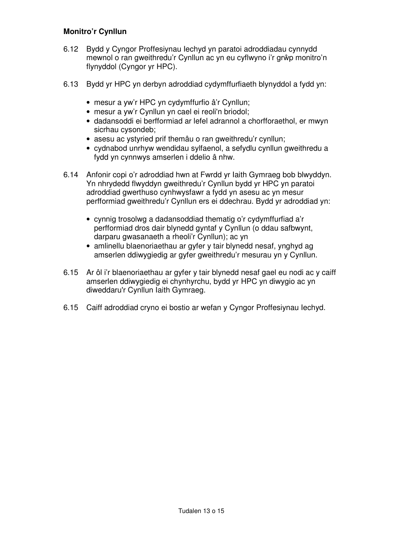#### **Monitro'r Cynllun**

- 6.12 Bydd y Cyngor Proffesiynau Iechyd yn paratoi adroddiadau cynnydd mewnol o ran gweithredu'r Cynllun ac yn eu cyflwyno i'r grŵp monitro'n flynyddol (Cyngor yr HPC).
- 6.13 Bydd yr HPC yn derbyn adroddiad cydymffurfiaeth blynyddol a fydd yn:
	- mesur a yw'r HPC yn cydymffurfio â'r Cynllun;
	- mesur a yw'r Cynllun yn cael ei reoli'n briodol;
	- dadansoddi ei berfformiad ar lefel adrannol a chorfforaethol, er mwyn sicrhau cysondeb;
	- asesu ac ystyried prif themâu o ran gweithredu'r cynllun;
	- cydnabod unrhyw wendidau sylfaenol, a sefydlu cynllun gweithredu a fydd yn cynnwys amserlen i ddelio â nhw.
- 6.14 Anfonir copi o'r adroddiad hwn at Fwrdd yr Iaith Gymraeg bob blwyddyn. Yn nhrydedd flwyddyn gweithredu'r Cynllun bydd yr HPC yn paratoi adroddiad gwerthuso cynhwysfawr a fydd yn asesu ac yn mesur perfformiad gweithredu'r Cynllun ers ei ddechrau. Bydd yr adroddiad yn:
	- cynnig trosolwg a dadansoddiad thematig o'r cydymffurfiad a'r perfformiad dros dair blynedd gyntaf y Cynllun (o ddau safbwynt, darparu gwasanaeth a rheoli'r Cynllun); ac yn
	- amlinellu blaenoriaethau ar gyfer y tair blynedd nesaf, ynghyd ag amserlen ddiwygiedig ar gyfer gweithredu'r mesurau yn y Cynllun.
- 6.15 Ar ôl i'r blaenoriaethau ar gyfer y tair blynedd nesaf gael eu nodi ac y caiff amserlen ddiwygiedig ei chynhyrchu, bydd yr HPC yn diwygio ac yn diweddaru'r Cynllun Iaith Gymraeg.
- 6.15 Caiff adroddiad cryno ei bostio ar wefan y Cyngor Proffesiynau Iechyd.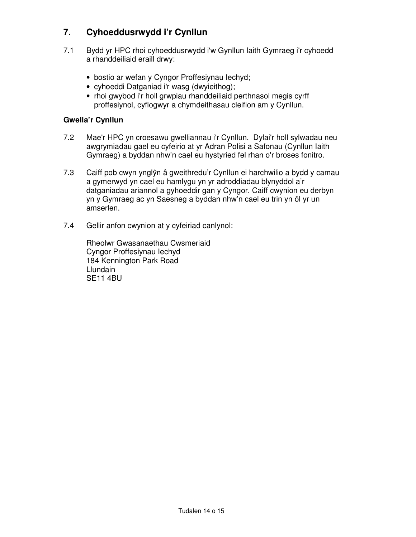### **7. Cyhoeddusrwydd i'r Cynllun**

- 7.1 Bydd yr HPC rhoi cyhoeddusrwydd i'w Gynllun Iaith Gymraeg i'r cyhoedd a rhanddeiliaid eraill drwy:
	- bostio ar wefan y Cyngor Proffesiynau Iechyd;
	- cyhoeddi Datganiad i'r wasg (dwyieithog);
	- rhoi gwybod i'r holl grwpiau rhanddeiliaid perthnasol megis cyrff proffesiynol, cyflogwyr a chymdeithasau cleifion am y Cynllun.

### **Gwella'r Cynllun**

- 7.2 Mae'r HPC yn croesawu gwelliannau i'r Cynllun. Dylai'r holl sylwadau neu awgrymiadau gael eu cyfeirio at yr Adran Polisi a Safonau (Cynllun Iaith Gymraeg) a byddan nhw'n cael eu hystyried fel rhan o'r broses fonitro.
- 7.3 Caiff pob cwyn ynglŷn â gweithredu'r Cynllun ei harchwilio a bydd y camau a gymerwyd yn cael eu hamlygu yn yr adroddiadau blynyddol a'r datganiadau ariannol a gyhoeddir gan y Cyngor. Caiff cwynion eu derbyn yn y Gymraeg ac yn Saesneg a byddan nhw'n cael eu trin yn ôl yr un amserlen.
- 7.4 Gellir anfon cwynion at y cyfeiriad canlynol:

 Rheolwr Gwasanaethau Cwsmeriaid Cyngor Proffesiynau Iechyd 184 Kennington Park Road **Llundain** SE11 4BU